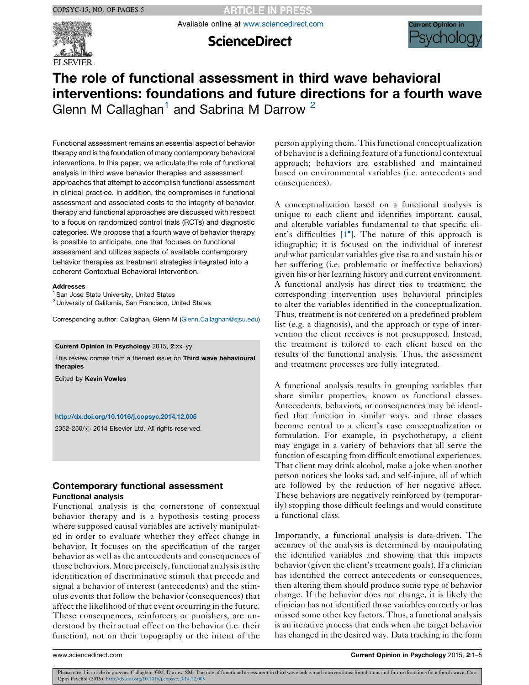**ARTICLE IN PRESS** 

Available online at [www.sciencedirect.com](http://www.sciencedirect.com/science/journal/00000000)



**ScienceDirect** 



# The role of functional assessment in third wave behavioral interventions: foundations and future directions for a fourth wave Glenn M Callaghan<sup>1</sup> and Sabrina M Darrow<sup>2</sup>

Functional assessment remains an essential aspect of behavior therapy and is the foundation of many contemporary behavioral interventions. In this paper, we articulate the role of functional analysis in third wave behavior therapies and assessment approaches that attempt to accomplish functional assessment in clinical practice. In addition, the compromises in functional assessment and associated costs to the integrity of behavior therapy and functional approaches are discussed with respect to a focus on randomized control trials (RCTs) and diagnostic categories. We propose that a fourth wave of behavior therapy is possible to anticipate, one that focuses on functional assessment and utilizes aspects of available contemporary behavior therapies as treatment strategies integrated into a coherent Contextual Behavioral Intervention.

#### Addresses

<sup>1</sup> San José State University, United States

<sup>2</sup> University of California, San Francisco, United States

Corresponding author: Callaghan, Glenn M [\(Glenn.Callaghan@sjsu.edu](mailto:Glenn.Callaghan@sjsu.edu))

#### Current Opinion in Psychology 2015, 2:xx–yy

This review comes from a themed issue on Third wave behavioural therapies

Edited by Kevin Vowles

#### <http://dx.doi.org/10.1016/j.copsyc.2014.12.005>

2352-250/ 2014 Elsevier Ltd. All rights reserved.

# Contemporary functional assessment Functional analysis

Functional analysis is the cornerstone of contextual behavior therapy and is a hypothesis testing process where supposed causal variables are actively manipulated in order to evaluate whether they effect change in behavior. It focuses on the specification of the target behavior as well as the antecedents and consequences of those behaviors. More precisely, functional analysis is the identification of discriminative stimuli that precede and signal a behavior of interest (antecedents) and the stimulus events that follow the behavior (consequences) that affect the likelihood of that event occurring in the future. These consequences, reinforcers or punishers, are understood by their actual effect on the behavior (i.e. their function), not on their topography or the intent of the

person applying them. Thisfunctional conceptualization of behavior is a defining feature of a functional contextual approach; behaviors are established and maintained based on environmental variables (i.e. antecedents and consequences).

A conceptualization based on a functional analysis is unique to each client and identifies important, causal, and alterable variables fundamental to that specific cli-ent's difficulties [\[1](#page-3-0)<sup>°</sup>[\].](#page-3-0) The nature of this approach is idiographic; it is focused on the individual of interest and what particular variables give rise to and sustain his or her suffering (i.e. problematic or ineffective behaviors) given his or her learning history and current environment. A functional analysis has direct ties to treatment; the corresponding intervention uses behavioral principles to alter the variables identified in the conceptualization. Thus, treatment is not centered on a predefined problem list (e.g. a diagnosis), and the approach or type of intervention the client receives is not presupposed. Instead, the treatment is tailored to each client based on the results of the functional analysis. Thus, the assessment and treatment processes are fully integrated.

A functional analysis results in grouping variables that share similar properties, known as functional classes. Antecedents, behaviors, or consequences may be identified that function in similar ways, and those classes become central to a client's case conceptualization or formulation. For example, in psychotherapy, a client may engage in a variety of behaviors that all serve the function of escaping from difficult emotional experiences. That client may drink alcohol, make a joke when another person notices she looks sad, and self-injure, all of which are followed by the reduction of her negative affect. These behaviors are negatively reinforced by (temporarily) stopping those difficult feelings and would constitute a functional class.

Importantly, a functional analysis is data-driven. The accuracy of the analysis is determined by manipulating the identified variables and showing that this impacts behavior (given the client's treatment goals). If a clinician has identified the correct antecedents or consequences, then altering them should produce some type of behavior change. If the behavior does not change, it is likely the clinician has not identified those variables correctly or has missed some other key factors. Thus, a functional analysis is an iterative process that ends when the target behavior has changed in the desired way. Data tracking in the form

www.sciencedirect.com Current Opinion in Psychology 2015, 2:1–5

Please cite this article in press as: Callaghan GM, Darrow SM: The role of functional assessment in third wave behavioral interventions: foundations and future directions for a fourth wave, Curr Opin Psychol (2015), <http://dx.doi.org/10.1016/j.copsyc.2014.12.005>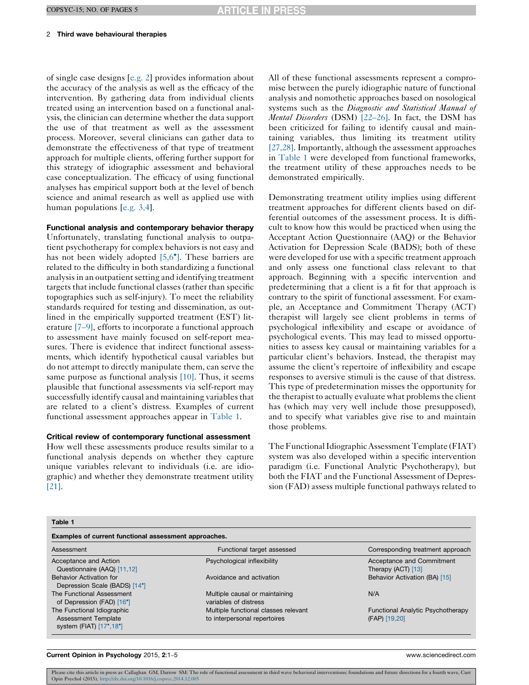#### 2 Third wave behavioural therapies

of single case designs [[e.g.](#page-3-0) 2] provides information about the accuracy of the analysis as well as the efficacy of the intervention. By gathering data from individual clients treated using an intervention based on a functional analysis, the clinician can determine whether the data support the use of that treatment as well as the assessment process. Moreover, several clinicians can gather data to demonstrate the effectiveness of that type of treatment approach for multiple clients, offering further support for this strategy of idiographic assessment and behavioral case conceptualization. The efficacy of using functional analyses has empirical support both at the level of bench science and animal research as well as applied use with human populations [\[e.g.](#page-3-0) 3,4].

Functional analysis and contemporary behavior therapy Unfortunately, translating functional analysis to outpatient psychotherapy for complex behaviors is not easy and has not been widely adopted [\[5,6](#page-3-0)<sup>°</sup>[\]](#page-3-0). These barriers are related to the difficulty in both standardizing a functional analysis in an outpatient setting and identifying treatment targets that include functional classes (rather than specific topographies such as self-injury). To meet the reliability standards required for testing and dissemination, as outlined in the empirically supported treatment (EST) literature [7–[9\],](#page-3-0) efforts to incorporate a functional approach to assessment have mainly focused on self-report measures. There is evidence that indirect functional assessments, which identify hypothetical causal variables but do not attempt to directly manipulate them, can serve the same purpose as functional analysis [\[10\]](#page-3-0). Thus, it seems plausible that functional assessments via self-report may successfully identify causal and maintaining variables that are related to a client's distress. Examples of current functional assessment approaches appear in Table 1.

### Critical review of contemporary functional assessment

How well these assessments produce results similar to a functional analysis depends on whether they capture unique variables relevant to individuals (i.e. are idiographic) and whether they demonstrate treatment utility [\[21\]](#page-3-0).

All of these functional assessments represent a compromise between the purely idiographic nature of functional analysis and nomothetic approaches based on nosological systems such as the Diagnostic and Statistical Manual of Mental Disorders (DSM) [22–[26\].](#page-3-0) In fact, the DSM has been criticized for failing to identify causal and maintaining variables, thus limiting its treatment utility [\[27,28\]](#page-4-0). Importantly, although the assessment approaches in Table 1 were developed from functional frameworks, the treatment utility of these approaches needs to be demonstrated empirically.

Demonstrating treatment utility implies using different treatment approaches for different clients based on differential outcomes of the assessment process. It is difficult to know how this would be practiced when using the Acceptant Action Questionnaire (AAQ) or the Behavior Activation for Depression Scale (BADS); both of these were developed for use with a specific treatment approach and only assess one functional class relevant to that approach. Beginning with a specific intervention and predetermining that a client is a fit for that approach is contrary to the spirit of functional assessment. For example, an Acceptance and Commitment Therapy (ACT) therapist will largely see client problems in terms of psychological inflexibility and escape or avoidance of psychological events. This may lead to missed opportunities to assess key causal or maintaining variables for a particular client's behaviors. Instead, the therapist may assume the client's repertoire of inflexibility and escape responses to aversive stimuli is the cause of that distress. This type of predetermination misses the opportunity for the therapist to actually evaluate what problems the client has (which may very well include those presupposed), and to specify what variables give rise to and maintain those problems.

The Functional Idiographic Assessment Template (FIAT) system was also developed within a specific intervention paradigm (i.e. Functional Analytic Psychotherapy), but both the FIAT and the Functional Assessment of Depression (FAD) assess multiple functional pathways related to

| Table |  |
|-------|--|
|       |  |

| Examples of current functional assessment approaches. |                                      |                                          |
|-------------------------------------------------------|--------------------------------------|------------------------------------------|
| Assessment                                            | Functional target assessed           | Corresponding treatment approach         |
| Acceptance and Action                                 | Psychological inflexibility          | Acceptance and Commitment                |
| Questionnaire (AAQ) [11,12]                           |                                      | Therapy (ACT) [13]                       |
| <b>Behavior Activation for</b>                        | Avoidance and activation             | Behavior Activation (BA) [15]            |
| Depression Scale (BADS) [14°]                         |                                      |                                          |
| The Functional Assessment                             | Multiple causal or maintaining       | N/A                                      |
| of Depression (FAD) [16 <sup>°</sup> ]                | variables of distress                |                                          |
| The Functional Idiographic                            | Multiple functional classes relevant | <b>Functional Analytic Psychotherapy</b> |
| <b>Assessment Template</b>                            | to interpersonal repertoires         | (FAP) [19,20]                            |
| system (FIAT) $[17^{\circ}, 18^{\circ}]$              |                                      |                                          |

#### Current Opinion in Psychology 2015, 2:1–5 www.sciencedirect.com

Please cite this article in press as: Callaghan GM, Darrow SM: The role of functional assessment in third wave behavioral interventions: foundations and future directions for a fourth wave, Curr Opin Psychol (2015), <http://dx.doi.org/10.1016/j.copsyc.2014.12.005>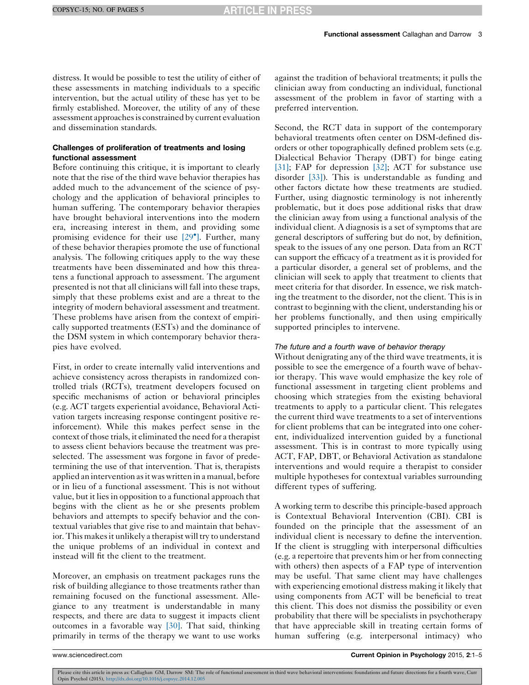distress. It would be possible to test the utility of either of these assessments in matching individuals to a specific intervention, but the actual utility of these has yet to be firmly established. Moreover, the utility of any of these assessment approaches is constrained by current evaluation and dissemination standards.

# Challenges of proliferation of treatments and losing functional assessment

Before continuing this critique, it is important to clearly note that the rise of the third wave behavior therapies has added much to the advancement of the science of psychology and the application of behavioral principles to human suffering. The contemporary behavior therapies have brought behavioral interventions into the modern era, increasing interest in them, and providing some promising evidence for their use [\[29](#page-4-0)°[\].](#page-4-0) Further, many of these behavior therapies promote the use of functional analysis. The following critiques apply to the way these treatments have been disseminated and how this threatens a functional approach to assessment. The argument presented is not that all clinicians will fall into these traps, simply that these problems exist and are a threat to the integrity of modern behavioral assessment and treatment. These problems have arisen from the context of empirically supported treatments (ESTs) and the dominance of the DSM system in which contemporary behavior therapies have evolved.

First, in order to create internally valid interventions and achieve consistency across therapists in randomized controlled trials (RCTs), treatment developers focused on specific mechanisms of action or behavioral principles (e.g. ACT targets experiential avoidance, Behavioral Activation targets increasing response contingent positive reinforcement). While this makes perfect sense in the context of those trials, it eliminated the need for a therapist to assess client behaviors because the treatment was preselected. The assessment was forgone in favor of predetermining the use of that intervention. That is, therapists applied an intervention asit was written in a manual, before or in lieu of a functional assessment. This is not without value, but it lies in opposition to a functional approach that begins with the client as he or she presents problem behaviors and attempts to specify behavior and the contextual variables that give rise to and maintain that behavior. This makes it unlikely a therapist will try to understand the unique problems of an individual in context and instead will fit the client to the treatment.

Moreover, an emphasis on treatment packages runs the risk of building allegiance to those treatments rather than remaining focused on the functional assessment. Allegiance to any treatment is understandable in many respects, and there are data to suggest it impacts client outcomes in a favorable way [\[30\].](#page-4-0) That said, thinking primarily in terms of the therapy we want to use works against the tradition of behavioral treatments; it pulls the clinician away from conducting an individual, functional assessment of the problem in favor of starting with a preferred intervention.

Second, the RCT data in support of the contemporary behavioral treatments often center on DSM-defined disorders or other topographically defined problem sets (e.g. Dialectical Behavior Therapy (DBT) for binge eating [\[31\];](#page-4-0) FAP for depression [\[32\];](#page-4-0) ACT for substance use disorder [\[33\]](#page-4-0)). This is understandable as funding and other factors dictate how these treatments are studied. Further, using diagnostic terminology is not inherently problematic, but it does pose additional risks that draw the clinician away from using a functional analysis of the individual client. A diagnosis is a set of symptoms that are general descriptors of suffering but do not, by definition, speak to the issues of any one person. Data from an RCT can support the efficacy of a treatment as it is provided for a particular disorder, a general set of problems, and the clinician will seek to apply that treatment to clients that meet criteria for that disorder. In essence, we risk matching the treatment to the disorder, not the client. This is in contrast to beginning with the client, understanding his or her problems functionally, and then using empirically supported principles to intervene.

#### The future and a fourth wave of behavior therapy

Without denigrating any of the third wave treatments, it is possible to see the emergence of a fourth wave of behavior therapy. This wave would emphasize the key role of functional assessment in targeting client problems and choosing which strategies from the existing behavioral treatments to apply to a particular client. This relegates the current third wave treatments to a set of interventions for client problems that can be integrated into one coherent, individualized intervention guided by a functional assessment. This is in contrast to more typically using ACT, FAP, DBT, or Behavioral Activation as standalone interventions and would require a therapist to consider multiple hypotheses for contextual variables surrounding different types of suffering.

A working term to describe this principle-based approach is Contextual Behavioral Intervention (CBI). CBI is founded on the principle that the assessment of an individual client is necessary to define the intervention. If the client is struggling with interpersonal difficulties (e.g. a repertoire that prevents him or her from connecting with others) then aspects of a FAP type of intervention may be useful. That same client may have challenges with experiencing emotional distress making it likely that using components from ACT will be beneficial to treat this client. This does not dismiss the possibility or even probability that there will be specialists in psychotherapy that have appreciable skill in treating certain forms of human suffering (e.g. interpersonal intimacy) who

Please cite this article in press as: Callaghan GM, Darrow SM: The role of functional assessment in third wave behavioral interventions: foundations and future directions for a fourth wave, Curr Opin Psychol (2015), <http://dx.doi.org/10.1016/j.copsyc.2014.12.005>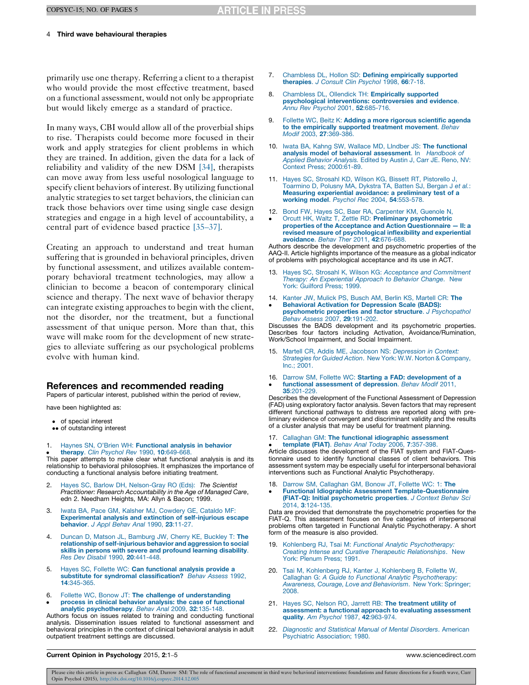#### <span id="page-3-0"></span>COPSYC-15; NO. OF PAGES 5

## 4 Third wave behavioural therapies

primarily use one therapy. Referring a client to a therapist who would provide the most effective treatment, based on a functional assessment, would not only be appropriate but would likely emerge as a standard of practice.

In many ways, CBI would allow all of the proverbial ships to rise. Therapists could become more focused in their work and apply strategies for client problems in which they are trained. In addition, given the data for a lack of reliability and validity of the new DSM [\[34\]](#page-4-0), therapists can move away from less useful nosological language to specify client behaviors of interest. By utilizing functional analytic strategies to set target behaviors, the clinician can track those behaviors over time using single case design strategies and engage in a high level of accountability, a central part of evidence based practice [35–[37\]](#page-4-0).

Creating an approach to understand and treat human suffering that is grounded in behavioral principles, driven by functional assessment, and utilizes available contemporary behavioral treatment technologies, may allow a clinician to become a beacon of contemporary clinical science and therapy. The next wave of behavior therapy can integrate existing approaches to begin with the client, not the disorder, nor the treatment, but a functional assessment of that unique person. More than that, this wave will make room for the development of new strategies to alleviate suffering as our psychological problems evolve with human kind.

## References and recommended reading

Papers of particular interest, published within the period of review,

have been highlighted as:

- of special interest
- •• of outstanding interest
- 1. Haynes SN, O'Brien WH: [Functional](http://refhub.elsevier.com/S2352-250X(14)00016-5/sbref0005) analysis in behavior
- $\bullet$ therapy. Clin Psychol Rev 1990, 10[:649-668.](http://refhub.elsevier.com/S2352-250X(14)00016-5/sbref0005)

This paper attempts to make clear what functional analysis is and its relationship to behavioral philosophies. It emphasizes the importance of conducting a functional analysis before initiating treatment.

- 2. Hayes SC, Barlow DH, [Nelson-Gray](http://refhub.elsevier.com/S2352-250X(14)00016-5/sbref0010) RO (Eds): The Scientist Practitioner: Research [Accountability](http://refhub.elsevier.com/S2352-250X(14)00016-5/sbref0010) in the Age of Managed Care, edn 2. Needham Heights, MA: Allyn & Bacon; 1999.
- 3. Iwata BA, Pace GM, Kalsher MJ, [Cowdery](http://refhub.elsevier.com/S2352-250X(14)00016-5/sbref0015) GE, Cataldo MF: [Experimental](http://refhub.elsevier.com/S2352-250X(14)00016-5/sbref0015) analysis and extinction of self-injurious escape [behavior](http://refhub.elsevier.com/S2352-250X(14)00016-5/sbref0015). J Appl Behav Anal 1990, 23:11-27.
- 4. Duncan D, Matson JL, [Bamburg](http://refhub.elsevier.com/S2352-250X(14)00016-5/sbref0020) JW, Cherry KE, Buckley T: The relationship of [self-injurious](http://refhub.elsevier.com/S2352-250X(14)00016-5/sbref0020) behavior and aggression to social skills in persons with severe and [profound](http://refhub.elsevier.com/S2352-250X(14)00016-5/sbref0020) learning disability. Res Dev Disabil 1990, 20[:441-448.](http://refhub.elsevier.com/S2352-250X(14)00016-5/sbref0020)
- 5. Hayes SC, Follette WC: Can [functional](http://refhub.elsevier.com/S2352-250X(14)00016-5/sbref0025) analysis provide a substitute for syndromal [classification?](http://refhub.elsevier.com/S2352-250X(14)00016-5/sbref0025) Behav Assess 1992, 14[:345-365.](http://refhub.elsevier.com/S2352-250X(14)00016-5/sbref0025)
- 6. Follette WC, Bonow JT: The challenge of [understanding](http://refhub.elsevier.com/S2352-250X(14)00016-5/sbref0030)
- $\bullet$ process in clinical behavior analysis: the case of [functional](http://refhub.elsevier.com/S2352-250X(14)00016-5/sbref0030) analytic [psychotherapy](http://refhub.elsevier.com/S2352-250X(14)00016-5/sbref0030). Behav Anal 2009, 32:135-148.

Authors focus on issues related to training and conducting functional analysis. Dissemination issues related to functional assessment and behavioral principles in the context of clinical behavioral analysis in adult outpatient treatment settings are discussed.

- 7. Chambless DL, Hollon SD: Defining [empirically](http://refhub.elsevier.com/S2352-250X(14)00016-5/sbref0035) supported [therapies](http://refhub.elsevier.com/S2352-250X(14)00016-5/sbref0035). J Consult Clin Psychol 1998, 66:7-18
- 8. Chambless DL, Ollendick TH: [Empirically](http://refhub.elsevier.com/S2352-250X(14)00016-5/sbref0040) supported [psychological](http://refhub.elsevier.com/S2352-250X(14)00016-5/sbref0040) interventions: controversies and evidence. Annu Rev Psychol 2001, 52[:685-716.](http://refhub.elsevier.com/S2352-250X(14)00016-5/sbref0040)
- 9. Follette WC, Beitz K: Adding a more rigorous [scientific](http://refhub.elsevier.com/S2352-250X(14)00016-5/sbref0045) agenda to the [empirically](http://refhub.elsevier.com/S2352-250X(14)00016-5/sbref0045) supported treatment movement. Behav Modif 2003, 27[:369-386.](http://refhub.elsevier.com/S2352-250X(14)00016-5/sbref0045)
- 10. Iwata BA, Kahng SW, Wallace MD, LIndber JS: The [functional](http://refhub.elsevier.com/S2352-250X(14)00016-5/sbref0050) analysis model of behavioral [assessment](http://refhub.elsevier.com/S2352-250X(14)00016-5/sbref0050). In Handbook of Applied [Behavior](http://refhub.elsevier.com/S2352-250X(14)00016-5/sbref0050) Analysis. Edited by Austin J, Carr JE. Reno, NV: [Context](http://refhub.elsevier.com/S2352-250X(14)00016-5/sbref0050) Press; 2000[:61-89.](http://refhub.elsevier.com/S2352-250X(14)00016-5/sbref0050)
- 11. Hayes SC, Strosahl KD, Wilson KG, Bissett RT, [Pistorello](http://refhub.elsevier.com/S2352-250X(14)00016-5/sbref0055) J, [Toarmino](http://refhub.elsevier.com/S2352-250X(14)00016-5/sbref0055) D, Polusny MA, Dykstra TA, Batten SJ, Bergan J et al.: Measuring [experiential](http://refhub.elsevier.com/S2352-250X(14)00016-5/sbref0055) avoidance: a preliminary test of a working model. Psychol Rec 2004, 54[:553-578.](http://refhub.elsevier.com/S2352-250X(14)00016-5/sbref0055)
- 12. Bond FW, Hayes SC, Baer RA, [Carpenter](http://refhub.elsevier.com/S2352-250X(14)00016-5/sbref0060) KM, Guenole N,
- -Orcutt HK, Waltz T, Zettle RD: Preliminary [psychometric](http://refhub.elsevier.com/S2352-250X(14)00016-5/sbref0060) properties of the Acceptance and Action [Questionnaire](http://refhub.elsevier.com/S2352-250X(14)00016-5/sbref0060) — II: a revised measure of [psychological](http://refhub.elsevier.com/S2352-250X(14)00016-5/sbref0060) inflexibility and experiential [avoidance](http://refhub.elsevier.com/S2352-250X(14)00016-5/sbref0060). Behav Ther 2011, 42:676-688.

Authors describe the development and psychometric properties of the AAQ-II. Article highlights importance of the measure as a global indicator of problems with psychological acceptance and its use in ACT.

- 13. Hayes SC, Strosahl K, Wilson KG: Acceptance and [Commitment](http://refhub.elsevier.com/S2352-250X(14)00016-5/sbref0065) Therapy: An [Experiential](http://refhub.elsevier.com/S2352-250X(14)00016-5/sbref0065) Approach to Behavior Change. New York: [Guilford](http://refhub.elsevier.com/S2352-250X(14)00016-5/sbref0065) Press; 1999.
- 14. Kanter JW, Mulick PS, Busch AM, Berlin KS, [Martell](http://refhub.elsevier.com/S2352-250X(14)00016-5/sbref0070) CR: The
- -Behavioral Activation for [Depression](http://refhub.elsevier.com/S2352-250X(14)00016-5/sbref0070) Scale (BADS): [psychometric](http://refhub.elsevier.com/S2352-250X(14)00016-5/sbref0070) properties and factor structure. J Psychopathol Behav Assess 2007, 29[:191-202.](http://refhub.elsevier.com/S2352-250X(14)00016-5/sbref0070)

Discusses the BADS development and its psychometric properties. Describes four factors including Activation, Avoidance/Rumination, Work/School Impairment, and Social Impairment.

- 15. Martell CR, Addis ME, Jacobson NS: [Depression](http://refhub.elsevier.com/S2352-250X(14)00016-5/sbref0075) in Context: Strategies for Guided Action. New York: W.W. Norton & [Company,](http://refhub.elsevier.com/S2352-250X(14)00016-5/sbref0075) Inc.; [2001.](http://refhub.elsevier.com/S2352-250X(14)00016-5/sbref0075)
- 16. Darrow SM, Follette WC: Starting a FAD: [development](http://refhub.elsevier.com/S2352-250X(14)00016-5/sbref0080) of a functional [assessment](http://refhub.elsevier.com/S2352-250X(14)00016-5/sbref0080) of depression. Behav Modif 2011, 35[:201-229.](http://refhub.elsevier.com/S2352-250X(14)00016-5/sbref0080)

Describes the development of the Functional Assessment of Depression (FAD) using exploratory factor analysis. Seven factors that may represent different functional pathways to distress are reported along with preliminary evidence of convergent and discriminant validity and the results of a cluster analysis that may be useful for treatment planning.

17. Callaghan GM: The functional idiographic [assessment](http://refhub.elsevier.com/S2352-250X(14)00016-5/sbref0085) template (FIAT). Behav Anal Today 2006, 7[:357-398.](http://refhub.elsevier.com/S2352-250X(14)00016-5/sbref0085)

**template (FIAT)**. Behav Anal Today 2006, 7:357-398.<br>Article discusses the development of the FIAT system and FIAT-Questionnaire used to identify functional classes of client behaviors. This assessment system may be especially useful for interpersonal behavioral interventions such as Functional Analytic Psychotherapy.

- 18. Darrow SM, [Callaghan](http://refhub.elsevier.com/S2352-250X(14)00016-5/sbref0090) GM, Bonow JT, Follette WC: 1: The -
- Functional Idiographic Assessment [Template-Questionnaire](http://refhub.elsevier.com/S2352-250X(14)00016-5/sbref0090) (FIAT-Q): Initial [psychometric](http://refhub.elsevier.com/S2352-250X(14)00016-5/sbref0090) properties. J Context Behav Sci 2014, 3[:124-135.](http://refhub.elsevier.com/S2352-250X(14)00016-5/sbref0090)

Data are provided that demonstrate the psychometric properties for the FIAT-Q. This assessment focuses on five categories of interpersonal problems often targeted in Functional Analytic Psychotherapy. A short form of the measure is also provided.

- 19. Kohlenberg RJ, Tsai M: Functional Analytic Psychotherapy Creating Intense and Curative Therapeutic [Relationships](http://refhub.elsevier.com/S2352-250X(14)00016-5/sbref0095). New York: [Plenum](http://refhub.elsevier.com/S2352-250X(14)00016-5/sbref0095) Press; 1991.
- 20. Tsai M, [Kohlenberg](http://refhub.elsevier.com/S2352-250X(14)00016-5/sbref0190) RJ, Kanter J, Kohlenberg B, Follette W, Callaghan G: A Guide to Functional Analytic [Psychotherapy:](http://refhub.elsevier.com/S2352-250X(14)00016-5/sbref0190) Awareness, Courage, Love and [Behaviorism](http://refhub.elsevier.com/S2352-250X(14)00016-5/sbref0190). New York: Springer; [2008.](http://refhub.elsevier.com/S2352-250X(14)00016-5/sbref0190)
- 21. Hayes SC, Nelson RO, Jarrett RB: The [treatment](http://refhub.elsevier.com/S2352-250X(14)00016-5/sbref0105) utility of [assessment:](http://refhub.elsevier.com/S2352-250X(14)00016-5/sbref0105) a functional approach to evaluating assessment quality. Am Psychol 1987, 42[:963-974.](http://refhub.elsevier.com/S2352-250X(14)00016-5/sbref0105)
- 22. [Diagnostic](http://refhub.elsevier.com/S2352-250X(14)00016-5/sbref0110) and Statistical Manual of Mental Disorders. American Psychiatric [Association;](http://refhub.elsevier.com/S2352-250X(14)00016-5/sbref0110) 1980.

## Current Opinion in Psychology 2015, 2:1–5 www.sciencedirect.com

Please cite this article in press as: Callaghan GM, Darrow SM: The role of functional assessment in third wave behavioral interventions: foundations and future directions for a fourth wave, Curr Opin Psychol (2015), <http://dx.doi.org/10.1016/j.copsyc.2014.12.005>